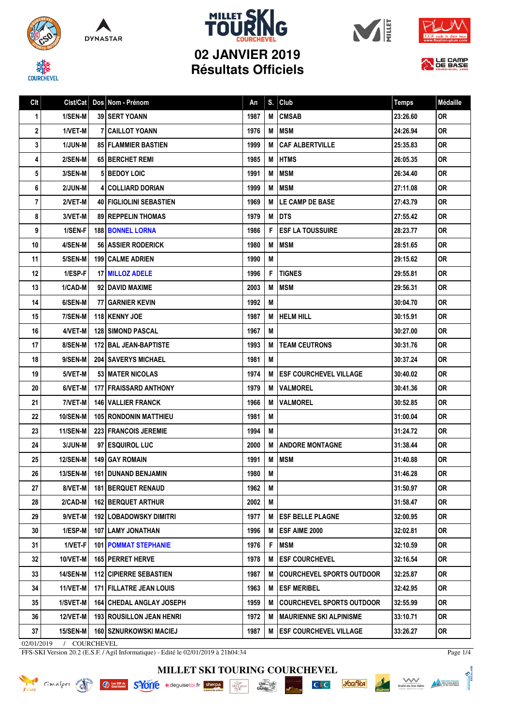

**COURCHEVEL** 











## **02 JANVIER 2019 Résultats Officiels**

| Clt | Clst/Cat        | Dos Nom - Prénom                  | An   | S. | Club                             | <b>Temps</b> | Médaille  |
|-----|-----------------|-----------------------------------|------|----|----------------------------------|--------------|-----------|
| 1   | 1/SEN-M         | 39 SERT YOANN                     | 1987 | M  | <b>CMSAB</b>                     | 23:26.60     | 0R        |
| 2   | 1/VET-M         | <b>7   CAILLOT YOANN</b>          | 1976 | M  | <b>MSM</b>                       | 24:26.94     | <b>OR</b> |
| 3   | 1/JUN-M         | <b>85 FLAMMIER BASTIEN</b>        | 1999 | M  | <b>CAF ALBERTVILLE</b>           | 25:35.83     | 0R        |
| 4   | 2/SEN-M         | <b>65 BERCHET REMI</b>            | 1985 | M  | <b>HTMS</b>                      | 26:05.35     | 0R        |
| 5   | 3/SEN-M         | 5 BEDOY LOIC                      | 1991 | M  | <b>MSM</b>                       | 26:34.40     | <b>OR</b> |
| 6   | 2/JUN-M         | 4 COLLIARD DORIAN                 | 1999 | M  | MSM                              | 27:11.08     | 0R        |
| 7   | 2/VET-M         | 40 FIGLIOLINI SEBASTIEN           | 1969 | M  | <b>LE CAMP DE BASE</b>           | 27:43.79     | 0R        |
| 8   | 3/VET-M         | <b>89 REPPELIN THOMAS</b>         | 1979 | M  | <b>DTS</b>                       | 27:55.42     | 0R        |
| 9   | 1/SEN-F         | <b>188 BONNEL LORNA</b>           | 1986 | F  | <b>ESF LA TOUSSUIRE</b>          | 28:23.77     | 0R        |
| 10  | 4/SEN-M         | 56 ASSIER RODERICK                | 1980 | M  | <b>MSM</b>                       | 28:51.65     | 0R        |
| 11  | 5/SEN-M         | 199 CALME ADRIEN                  | 1990 | M  |                                  | 29:15.62     | 0R        |
| 12  | 1/ESP-F         | 17 MILLOZ ADELE                   | 1996 | F  | <b>TIGNES</b>                    | 29:55.81     | 0R        |
| 13  | 1/CAD-M         | 92 DAVID MAXIME                   | 2003 | M  | <b>MSM</b>                       | 29:56.31     | 0R        |
| 14  | 6/SEN-M         | <b>77 GARNIER KEVIN</b>           | 1992 | M  |                                  | 30:04.70     | <b>OR</b> |
| 15  | 7/SEN-M         | <b>118 KENNY JOE</b>              | 1987 | M  | <b>HELM HILL</b>                 | 30:15.91     | <b>OR</b> |
| 16  | 4/VET-M         | <b>128 SIMOND PASCAL</b>          | 1967 | M  |                                  | 30:27.00     | 0R        |
| 17  | 8/SEN-M         | <b>172 BAL JEAN-BAPTISTE</b>      | 1993 | M  | <b>TEAM CEUTRONS</b>             | 30:31.76     | 0R        |
| 18  | 9/SEN-M         | <b>204   SAVERYS MICHAEL</b>      | 1981 | M  |                                  | 30:37.24     | 0R        |
| 19  | 5/VET-M         | 53 MATER NICOLAS                  | 1974 | M  | <b>ESF COURCHEVEL VILLAGE</b>    | 30:40.02     | <b>OR</b> |
| 20  | 6/VET-M         | <b>177 FRAISSARD ANTHONY</b>      | 1979 | M  | <b>VALMOREL</b>                  | 30:41.36     | 0R        |
| 21  | 7/VET-M         | <b>146 VALLIER FRANCK</b>         | 1966 | M  | <b>VALMOREL</b>                  | 30:52.85     | 0R        |
| 22  | 10/SEN-M        | <b>105 RONDONIN MATTHIEU</b>      | 1981 | M  |                                  | 31:00.04     | <b>OR</b> |
| 23  | 11/SEN-M        | 223 FRANCOIS JEREMIE              | 1994 | M  |                                  | 31:24.72     | 0R        |
| 24  | 3/JUN-M         | 97 ESQUIROL LUC                   | 2000 | M  | <b>ANDORE MONTAGNE</b>           | 31:38.44     | 0R        |
| 25  | 12/SEN-M        | 149 GAY ROMAIN                    | 1991 | M  | <b>MSM</b>                       | 31:40.88     | 0R        |
| 26  | <b>13/SEN-M</b> | <b>161 DUNAND BENJAMIN</b>        | 1980 | M  |                                  | 31:46.28     | <b>OR</b> |
| 27  | 8/VET-M         | <b>181 BERQUET RENAUD</b>         | 1962 | M  |                                  | 31:50.97     | <b>OR</b> |
| 28  | 2/CAD-M         | <b>162 BERQUET ARTHUR</b>         | 2002 | M  |                                  | 31:58.47     | 0R        |
| 29  | 9/VET-M         | <b>192 LOBADOWSKY DIMITRI</b>     | 1977 | M  | <b>IESF BELLE PLAGNE</b>         | 32:00.95     | OR        |
| 30  | $1/ESP-M$       | 107 LAMY JONATHAN                 | 1996 | M  | <b>ESF AIME 2000</b>             | 32:02.81     | 0R        |
| 31  | 1/VET-F         | <b>101   POMMAT STEPHANIE</b>     | 1976 | F  | MSM                              | 32:10.59     | OR        |
| 32  | 10/VET-M        | 165 PERRET HERVE                  | 1978 | M  | <b>ESF COURCHEVEL</b>            | 32:16.54     | 0R        |
| 33  | <b>14/SEN-M</b> | <b>112 CIPIERRE SEBASTIEN</b>     | 1987 | M  | <b>COURCHEVEL SPORTS OUTDOOR</b> | 32:25.87     | 0R        |
| 34  | 11/VET-M        | <b>171 FILLATRE JEAN LOUIS</b>    | 1963 | M  | <b>ESF MERIBEL</b>               | 32:42.95     | 0R.       |
| 35  | 1/SVET-M        | <b>164 CHEDAL ANGLAY JOSEPH</b>   | 1959 | M  | <b>COURCHEVEL SPORTS OUTDOOR</b> | 32:55.99     | 0R        |
| 36  | 12/VET-M        | <b>193   ROUSILLON JEAN HENRI</b> | 1972 | M  | <b>MAURIENNE SKI ALPINISME</b>   | 33:10.71     | 0R.       |
| 37  | 15/SEN-M        | <b>160 SZNURKOWSKI MACIEJ</b>     | 1987 | M  | <b>ESF COURCHEVEL VILLAGE</b>    | 33:26.27     | OR        |

02/01/2019 / COURCHEVEL

KRIDER Cimalpes

FFS-SKI Version 20.2 (E.S.F. / Agil Informatique) - Edité le 02/01/2019 à 21h04:34

**Ø** Les ESF de S<sup>L</sup>YOTTE ★ deguisetoi.fr sherpa

Page 1/4

Scrift des Treix Vallées<br>Scrift des Treix Vallées<br>et de montagne

*<u><b>Socifica*</u>

 $CI$ 

DNTMONE<sup>2</sup>

**MILLET SKI TOURING COURCHEVEL**

**INTABLE**<br>**MANGRAND** 

 $\frac{\text{chez}}{\text{Gauloig}}$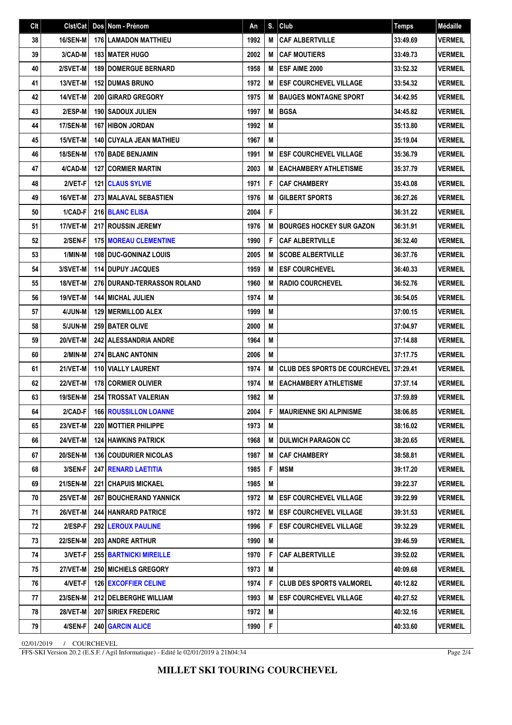| Clt | Clst/Cat        | $\sf{Dos}$ | Nom - Prénom                  | An   | S. | Club                                 | <b>Temps</b> | Médaille       |
|-----|-----------------|------------|-------------------------------|------|----|--------------------------------------|--------------|----------------|
| 38  | <b>16/SEN-M</b> |            | <b>176 LAMADON MATTHIEU</b>   | 1992 | M  | <b>CAF ALBERTVILLE</b>               | 33:49.69     | <b>VERMEIL</b> |
| 39  | 3/CAD-M         |            | <b>183 MATER HUGO</b>         | 2002 | M  | <b>CAF MOUTIERS</b>                  | 33:49.73     | <b>VERMEIL</b> |
| 40  | 2/SVET-M        |            | <b>189 DOMERGUE BERNARD</b>   | 1958 | M  | ESF AIME 2000                        | 33:52.32     | <b>VERMEIL</b> |
| 41  | 13/VET-M        |            | <b>152 DUMAS BRUNO</b>        | 1972 | M  | <b>ESF COURCHEVEL VILLAGE</b>        | 33:54.32     | <b>VERMEIL</b> |
| 42  | 14/VET-M        |            | 200 GIRARD GREGORY            | 1975 | М  | <b>BAUGES MONTAGNE SPORT</b>         | 34:42.95     | <b>VERMEIL</b> |
| 43  | 2/ESP-M         |            | <b>190 SADOUX JULIEN</b>      | 1997 | M  | <b>BGSA</b>                          | 34:45.82     | <b>VERMEIL</b> |
| 44  | <b>17/SEN-M</b> |            | <b>167 HIBON JORDAN</b>       | 1992 | M  |                                      | 35:13.80     | <b>VERMEIL</b> |
| 45  | 15/VET-M        |            | 140 CUYALA JEAN MATHIEU       | 1967 | M  |                                      | 35:19.04     | <b>VERMEIL</b> |
| 46  | <b>18/SEN-M</b> |            | <b>170 BADE BENJAMIN</b>      | 1991 | M  | <b>ESF COURCHEVEL VILLAGE</b>        | 35:36.79     | <b>VERMEIL</b> |
| 47  | 4/CAD-M         |            | <b>127 CORMIER MARTIN</b>     | 2003 | M  | <b>EACHAMBERY ATHLETISME</b>         | 35:37.79     | <b>VERMEIL</b> |
| 48  | 2/VET-F         |            | <b>121 CLAUS SYLVIE</b>       | 1971 | F  | <b>CAF CHAMBERY</b>                  | 35:43.08     | <b>VERMEIL</b> |
| 49  | 16/VET-M        |            | <b>273 MALAVAL SEBASTIEN</b>  | 1976 | M  | <b>GILBERT SPORTS</b>                | 36:27.26     | <b>VERMEIL</b> |
| 50  | 1/CAD-F         |            | <b>216 BLANC ELISA</b>        | 2004 | F  |                                      | 36:31.22     | <b>VERMEIL</b> |
| 51  | 17/VET-M        |            | 217 ROUSSIN JEREMY            | 1976 | M  | <b>BOURGES HOCKEY SUR GAZON</b>      | 36:31.91     | <b>VERMEIL</b> |
| 52  | 2/SEN-F         |            | <b>175 MOREAU CLEMENTINE</b>  | 1990 | F  | <b>CAF ALBERTVILLE</b>               | 36:32.40     | <b>VERMEIL</b> |
| 53  | 1/MIN-M         |            | <b>108 DUC-GONINAZ LOUIS</b>  | 2005 | M  | <b>SCOBE ALBERTVILLE</b>             | 36:37.76     | <b>VERMEIL</b> |
| 54  | 3/SVET-M        |            | 114 DUPUY JACQUES             | 1959 | M  | <b>ESF COURCHEVEL</b>                | 36:40.33     | <b>VERMEIL</b> |
| 55  | 18/VET-M        |            | 276 DURAND-TERRASSON ROLAND   | 1960 | M  | <b>RADIO COURCHEVEL</b>              | 36:52.76     | <b>VERMEIL</b> |
| 56  | 19/VET-M        |            | <b>144   MICHAL JULIEN</b>    | 1974 | M  |                                      | 36:54.05     | <b>VERMEIL</b> |
| 57  | 4/JUN-M         |            | <b>129   MERMILLOD ALEX</b>   | 1999 | M  |                                      | 37:00.15     | <b>VERMEIL</b> |
| 58  | 5/JUN-M         |            | <b>259 BATER OLIVE</b>        | 2000 | M  |                                      | 37:04.97     | <b>VERMEIL</b> |
| 59  | 20/VET-M        |            | 242 ALESSANDRIA ANDRE         | 1964 | M  |                                      | 37:14.88     | <b>VERMEIL</b> |
| 60  | 2/MIN-M         |            | <b>274 BLANC ANTONIN</b>      | 2006 | M  |                                      | 37:17.75     | <b>VERMEIL</b> |
| 61  | 21/VET-M        |            | 110 VIALLY LAURENT            | 1974 | M  | <b>CLUB DES SPORTS DE COURCHEVEL</b> | 37:29.41     | <b>VERMEIL</b> |
| 62  | 22/VET-M        |            | 178 CORMIER OLIVIER           | 1974 | M  | <b>EACHAMBERY ATHLETISME</b>         | 37:37.14     | <b>VERMEIL</b> |
| 63  | <b>19/SEN-M</b> |            | 254 TROSSAT VALERIAN          | 1982 | M  |                                      | 37:59.89     | <b>VERMEIL</b> |
| 64  | 2/CAD-FI        |            | <b>166 ROUSSILLON LOANNE</b>  | 2004 | F. | I MAURIENNE SKI ALPINISME            | 38:06.85     | <b>VERMEIL</b> |
| 65  | 23/VET-M        |            | <b>220   MOTTIER PHILIPPE</b> | 1973 | M  |                                      | 38:16.02     | <b>VERMEIL</b> |
| 66  | <b>24/VET-M</b> |            | <b>124 HAWKINS PATRICK</b>    | 1968 | M  | <b>DULWICH PARAGON CC</b>            | 38:20.65     | <b>VERMEIL</b> |
| 67  | <b>20/SEN-M</b> |            | <b>136 COUDURIER NICOLAS</b>  | 1987 | M  | <b>CAF CHAMBERY</b>                  | 38:58.81     | <b>VERMEIL</b> |
| 68  | 3/SEN-F         |            | 247 RENARD LAETITIA           | 1985 | F  | <b>MSM</b>                           | 39:17.20     | <b>VERMEIL</b> |
| 69  | <b>21/SEN-M</b> |            | <b>221 CHAPUIS MICKAEL</b>    | 1985 | M  |                                      | 39:22.37     | <b>VERMEIL</b> |
| 70  | <b>25/VET-M</b> |            | <b>267 BOUCHERAND YANNICK</b> | 1972 | M  | <b>ESF COURCHEVEL VILLAGE</b>        | 39:22.99     | <b>VERMEIL</b> |
| 71  | 26/VET-M        |            | <b>244 HANRARD PATRICE</b>    | 1972 | M  | <b>ESF COURCHEVEL VILLAGE</b>        | 39:31.53     | <b>VERMEIL</b> |
| 72  | 2/ESP-F         |            | <b>292   LEROUX PAULINE</b>   | 1996 | F  | <b>ESF COURCHEVEL VILLAGE</b>        | 39:32.29     | <b>VERMEIL</b> |
| 73  | <b>22/SEN-M</b> |            | 203   ANDRE ARTHUR            | 1990 | M  |                                      | 39:46.59     | <b>VERMEIL</b> |
| 74  | 3/VET-F         |            | <b>255 BARTNICKI MIREILLE</b> | 1970 | F  | <b>CAF ALBERTVILLE</b>               | 39:52.02     | <b>VERMEIL</b> |
| 75  | 27/VET-M        |            | <b>250   MICHIELS GREGORY</b> | 1973 | M  |                                      | 40:09.68     | <b>VERMEIL</b> |
| 76  | 4/VET-F         |            | <b>126 EXCOFFIER CELINE</b>   | 1974 | F  | <b>CLUB DES SPORTS VALMOREL</b>      | 40:12.82     | <b>VERMEIL</b> |
| 77  | 23/SEN-M        |            | 212 DELBERGHE WILLIAM         | 1993 | M  | <b>ESF COURCHEVEL VILLAGE</b>        | 40:27.52     | <b>VERMEIL</b> |
| 78  | <b>28/VET-M</b> |            | 207 SIRIEX FREDERIC           | 1972 | M  |                                      | 40:32.16     | <b>VERMEIL</b> |
| 79  | 4/SEN-F         |            | 240 GARCIN ALICE              | 1990 | F  |                                      | 40:33.60     | <b>VERMEIL</b> |

02/01/2019 / COURCHEVEL

FFS-SKI Version 20.2 (E.S.F. / Agil Informatique) - Edité le 02/01/2019 à 21h04:34

Page 2/4

**MILLET SKI TOURING COURCHEVEL**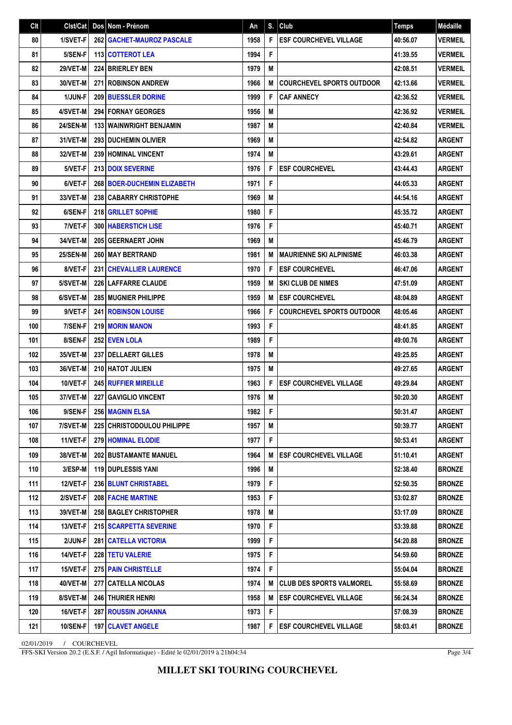| Clt | Clst/Cat        | $\sf{Dos}$ | Nom - Prénom                         | An   | S.          | Club                             | <b>Temps</b> | Médaille       |
|-----|-----------------|------------|--------------------------------------|------|-------------|----------------------------------|--------------|----------------|
| 80  | 1/SVET-F        |            | 262 GACHET-MAUROZ PASCALE            | 1958 | F           | <b>ESF COURCHEVEL VILLAGE</b>    | 40:56.07     | <b>VERMEIL</b> |
| 81  | 5/SEN-F         |            | <b>113 COTTEROT LEA</b>              | 1994 | F           |                                  | 41:39.55     | <b>VERMEIL</b> |
| 82  | <b>29/VET-M</b> |            | 224 BRIERLEY BEN                     | 1979 | M           |                                  | 42:08.51     | <b>VERMEIL</b> |
| 83  | 30/VET-M        |            | 271 ROBINSON ANDREW                  | 1966 | M           | <b>COURCHEVEL SPORTS OUTDOOR</b> | 42:13.66     | <b>VERMEIL</b> |
| 84  | 1/JUN-F         |            | <b>209 BUESSLER DORINE</b>           | 1999 | F           | <b>CAF ANNECY</b>                | 42:36.52     | <b>VERMEIL</b> |
| 85  | 4/SVET-M        |            | <b>294 FORNAY GEORGES</b>            | 1956 | M           |                                  | 42:36.92     | <b>VERMEIL</b> |
| 86  | <b>24/SEN-M</b> |            | <b>133 WAINWRIGHT BENJAMIN</b>       | 1987 | M           |                                  | 42:40.84     | <b>VERMEIL</b> |
| 87  | 31/VET-M        |            | 293 DUCHEMIN OLIVIER                 | 1969 | M           |                                  | 42:54.82     | <b>ARGENT</b>  |
| 88  | 32/VET-M        |            | <b>239 HOMINAL VINCENT</b>           | 1974 | M           |                                  | 43:29.61     | <b>ARGENT</b>  |
| 89  | 5/VET-F         |            | <b>213 DOIX SEVERINE</b>             | 1976 | F           | <b>ESF COURCHEVEL</b>            | 43:44.43     | <b>ARGENT</b>  |
| 90  | 6/VET-F         |            | <b>268   BOER-DUCHEMIN ELIZABETH</b> | 1971 | F           |                                  | 44:05.33     | <b>ARGENT</b>  |
| 91  | 33/VET-M        |            | 238 CABARRY CHRISTOPHE               | 1969 | M           |                                  | 44:54.16     | <b>ARGENT</b>  |
| 92  | 6/SEN-F         |            | 218 GRILLET SOPHIE                   | 1980 | F           |                                  | 45:35.72     | <b>ARGENT</b>  |
| 93  | 7/VET-F         |            | <b>300 HABERSTICH LISE</b>           | 1976 | F           |                                  | 45:40.71     | <b>ARGENT</b>  |
| 94  | 34/VET-M        |            | 205 GEERNAERT JOHN                   | 1969 | M           |                                  | 45:46.79     | <b>ARGENT</b>  |
| 95  | <b>25/SEN-M</b> |            | 260 MAY BERTRAND                     | 1981 | M           | <b>MAURIENNE SKI ALPINISME</b>   | 46:03.38     | <b>ARGENT</b>  |
| 96  | 8/VET-F         |            | <b>231 CHEVALLIER LAURENCE</b>       | 1970 | F           | <b>ESF COURCHEVEL</b>            | 46:47.06     | <b>ARGENT</b>  |
| 97  | 5/SVET-M        |            | 226 LAFFARRE CLAUDE                  | 1959 | M           | <b>SKI CLUB DE NIMES</b>         | 47:51.09     | <b>ARGENT</b>  |
| 98  | 6/SVET-M        |            | <b>285 MUGNIER PHILIPPE</b>          | 1959 | M           | <b>ESF COURCHEVEL</b>            | 48:04.89     | <b>ARGENT</b>  |
| 99  | 9/VET-F         |            | <b>241 ROBINSON LOUISE</b>           | 1966 | F           | <b>COURCHEVEL SPORTS OUTDOOR</b> | 48:05.46     | <b>ARGENT</b>  |
| 100 | 7/SEN-F         |            | <b>219 MORIN MANON</b>               | 1993 | F           |                                  | 48:41.85     | <b>ARGENT</b>  |
| 101 | 8/SEN-F         |            | <b>252 EVEN LOLA</b>                 | 1989 | F           |                                  | 49:00.76     | <b>ARGENT</b>  |
| 102 | 35/VET-M        |            | 237   DELLAERT GILLES                | 1978 | M           |                                  | 49:25.85     | <b>ARGENT</b>  |
| 103 | 36/VET-M        |            | 210 HATOT JULIEN                     | 1975 | M           |                                  | 49:27.65     | <b>ARGENT</b>  |
| 104 | 10/VET-F        |            | <b>245 RUFFIER MIREILLE</b>          | 1963 | F           | <b>ESF COURCHEVEL VILLAGE</b>    | 49:29.84     | <b>ARGENT</b>  |
| 105 | 37/VET-M        |            | 227 GAVIGLIO VINCENT                 | 1976 | M           |                                  | 50:20.30     | <b>ARGENT</b>  |
| 106 | 9/SEN-F         |            | <b>256 MAGNIN ELSA</b>               | 1982 | $\mathsf F$ |                                  | 50:31.47     | <b>ARGENT</b>  |
| 107 | 7/SVET-M        |            | <b>225 CHRISTODOULOU PHILIPPE</b>    | 1957 | M           |                                  | 50:39.77     | ARGENT         |
| 108 | 11/VET-F        |            | <b>279 HOMINAL ELODIE</b>            | 1977 | F           |                                  | 50:53.41     | ARGENT         |
| 109 | 38/VET-M        |            | <b>202 BUSTAMANTE MANUEL</b>         | 1964 | M           | <b>ESF COURCHEVEL VILLAGE</b>    | 51:10.41     | <b>ARGENT</b>  |
| 110 | 3/ESP-M         |            | 119 DUPLESSIS YANI                   | 1996 | M           |                                  | 52:38.40     | <b>BRONZE</b>  |
| 111 | 12/VET-F        |            | <b>236 BLUNT CHRISTABEL</b>          | 1979 | F           |                                  | 52:50.35     | <b>BRONZE</b>  |
| 112 | 2/SVET-F        |            | <b>208 FACHE MARTINE</b>             | 1953 | F           |                                  | 53:02.87     | <b>BRONZE</b>  |
| 113 | 39/VET-M        |            | 258 BAGLEY CHRISTOPHER               | 1978 | M           |                                  | 53:17.09     | <b>BRONZE</b>  |
| 114 | 13/VET-F        |            | 215   SCARPETTA SEVERINE             | 1970 | F           |                                  | 53:39.88     | <b>BRONZE</b>  |
| 115 | 2/JUN-F         |            | <b>281   CATELLA VICTORIA</b>        | 1999 | F           |                                  | 54:20.88     | <b>BRONZE</b>  |
| 116 | 14/VET-F        |            | <b>228 TETU VALERIE</b>              | 1975 | F           |                                  | 54:59.60     | <b>BRONZE</b>  |
| 117 | 15/VET-F        |            | <b>275 PAIN CHRISTELLE</b>           | 1974 | F           |                                  | 55:04.04     | <b>BRONZE</b>  |
| 118 | 40/VET-M        |            | 277   CATELLA NICOLAS                | 1974 | M           | <b>CLUB DES SPORTS VALMOREL</b>  | 55:58.69     | <b>BRONZE</b>  |
| 119 | 8/SVET-M        |            | <b>246 THURIER HENRI</b>             | 1958 | M           | <b>ESF COURCHEVEL VILLAGE</b>    | 56:24.34     | <b>BRONZE</b>  |
| 120 | 16/VET-F        |            | <b>287   ROUSSIN JOHANNA</b>         | 1973 | F           |                                  | 57:08.39     | <b>BRONZE</b>  |
| 121 | <b>10/SEN-F</b> |            | 197 CLAVET ANGELE                    | 1987 | F           | <b>ESF COURCHEVEL VILLAGE</b>    | 58:03.41     | <b>BRONZE</b>  |

02/01/2019 / COURCHEVEL

FFS-SKI Version 20.2 (E.S.F. / Agil Informatique) - Edité le 02/01/2019 à 21h04:34

Page 3/4

**MILLET SKI TOURING COURCHEVEL**